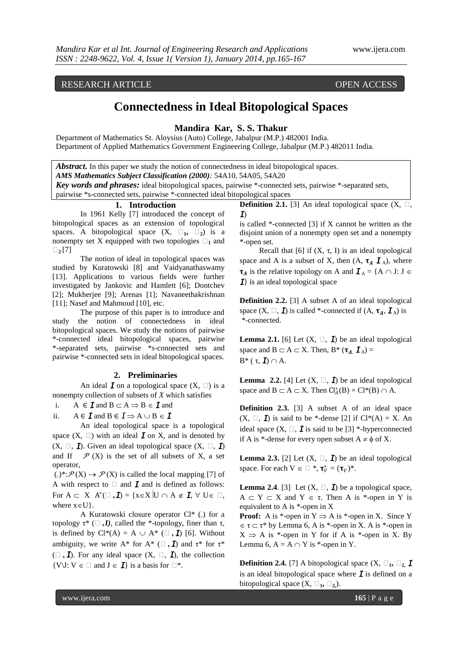# **Connectedness in Ideal Bitopological Spaces**

### **Mandira Kar, S. S. Thakur**

Department of Mathematics St. Aloysius (Auto) College, Jabalpur (M.P.) 482001 India. Department of Applied Mathematics Government Engineering College, Jabalpur (M.P.) 482011 India.

*Abstract.* In this paper we study the notion of connectedness in ideal bitopological spaces. *AMS Mathematics Subject Classification (2000):* 54A10, 54A05, 54A20

*Key words and phrases:* ideal bitopological spaces, pairwise \*-connected sets, pairwise \*-separated sets, pairwise \*s-connected sets, pairwise \*-connected ideal bitopological spaces

# **1. Introduction**

In 1961 Kelly [7] introduced the concept of bitopological spaces as an extension of topological spaces. A bitopological space  $(X, \square_1, \square_2)$  is a nonempty set X equipped with two topologies  $\Box_1$  and **τ<sup>2</sup>** [7]

The notion of ideal in topological spaces was studied by Kuratowski [8] and Vaidyanathaswamy [13]. Applications to various fields were further investigated by Jankovic and Hamlett [6]; Dontchev [2]; Mukherjee [9]; Arenas [1]; Navaneethakrishnan [11]; Nasef and Mahmoud [10], etc.

The purpose of this paper is to introduce and study the notion of connectedness in ideal bitopological spaces. We study the notions of pairwise \*-connected ideal bitopological spaces, pairwise \*-separated sets, pairwise \**s*-connected sets and pairwise \*-connected sets in ideal bitopological spaces.

#### **2. Preliminaries**

An ideal  $\mathbf{I}$  on a topological space  $(X, \Box)$  is a nonempty collection of subsets of *X* which satisfies

i. A  $\in I$  and  $B \subset A \Rightarrow B \in I$  and

ii.  $A \in \mathbf{I}$  and  $B \in \mathbf{I} \Rightarrow A \cup B \in \mathbf{I}$ 

An ideal topological space is a topological space  $(X, \Box)$  with an ideal *I* on X, and is denoted by  $(X, \Box, \mathbf{I})$ . Given an ideal topological space  $(X, \Box, \mathbf{I})$ and If  $\mathcal{P}(X)$  is the set of all subsets of X, a set operator,

 $(.)^*:\mathcal{P}(X) \to \mathcal{P}(X)$  is called the local mapping [7] of A with respect to  $\Box$  and  $\bm{I}$  and is defined as follows: For  $A \subset X$   $A^*(\square, I) = \{x \in X | U \cap A \notin I, \forall U \in \square,$ where  $x \in U$ .

A Kuratowski closure operator Cl\* (.) for a topology  $\tau^*$  ( $\Box$ ,*I*), called the \*-topology, finer than  $\tau$ , is defined by  $Cl^*(A) = A \cup A^* \left( \square, \square \right)$  [6]. Without ambiguity, we write A\* for A\* ( $\Box$ ,  $\mathbf{I}$ ) and  $\tau^*$  for  $\tau^*$  $(\Box, \mathbf{I})$ . For any ideal space  $(X, \Box, \mathbf{I})$ , the collection  $\{V \cup V \in \Box \text{ and } J \in \mathbf{I}\}\$ is a basis for  $\Box^*$ .

**Definition 2.1.** [3] An ideal topological space  $(X, \Box, \Box)$ *I*)

is called \*-connected [3] if X cannot be written as the disjoint union of a nonempty open set and a nonempty \*-open set.

Recall that [6] if  $(X, \tau, I)$  is an ideal topological space and A is a subset of X, then  $(A, \tau_A \mathbf{I}_A)$ , where  $\tau_A$  is the relative topology on A and  $\mathbf{I}_A = \{A \cap J : J \in$ *I*} is an ideal topological space

**Definition 2.2.** [3] A subset A of an ideal topological space  $(X, \Box, I)$  is called \*-connected if  $(A, \tau_A, I_A)$  is \*-connected.

**Lemma 2.1.** [6] Let  $(X, \square, \mathbf{I})$  be an ideal topological space and  $B \subset A \subset X$ . Then,  $B^* (\tau_{A}, \mathbf{I}_{A}) =$ B<sup>\*</sup> (τ, **I**)  $\cap$  A.

**Lemma 2.2.** [4] Let  $(X, \square, I)$  be an ideal topological space and  $B \subset A \subset X$ . Then  $Cl_A^*(B) = Cl^*(B) \cap A$ .

**Definition 2.3.** [3] A subset A of an ideal space  $(X, \Box, \mathbf{I})$  is said to be \*-dense [2] if  $Cl^*(A) = X$ . An ideal space  $(X, \Box, \mathbf{I})$  is said to be [3] \*-hyperconnected if A is \*-dense for every open subset  $A \neq \phi$  of X.

**Lemma 2.3.** [2] Let  $(X, \Box, I)$  be an ideal topological space. For each  $V \in \square^*$ ,  $\tau_V^* = (\tau_V)^*$ .

**Lemma 2.4.** [3] Let  $(X, \square, \mathbf{I})$  be a topological space,  $A \subset Y \subset X$  and  $Y \in \tau$ . Then A is \*-open in Y is equivalent to A is \*-open in X

**Proof:** A is \*-open in  $Y \Rightarrow A$  is \*-open in X. Since Y  $\epsilon \tau \subset \tau^*$  by Lemma 6, A is \*-open in X. A is \*-open in  $X \Rightarrow A$  is \*-open in Y for if A is \*-open in X. By Lemma 6,  $A = A \cap Y$  is \*-open in Y.

**Definition 2.4.** [7] A bitopological space  $(X, \square_1, \square_2, I)$ is an ideal bitopological space where *I* is defined on a bitopological space  $(X, \square_1, \square_2)$ .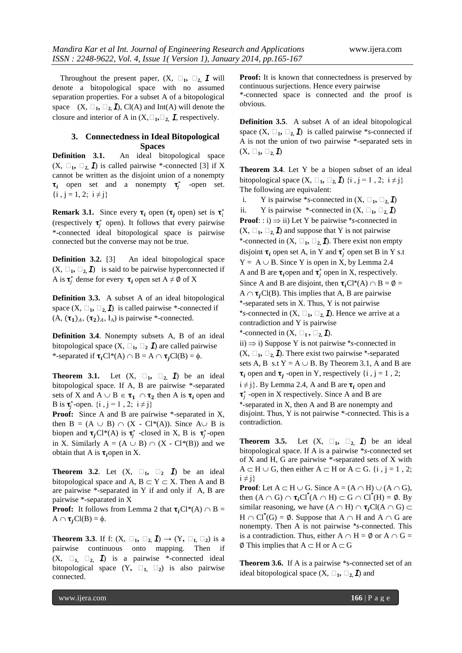Throughout the present paper,  $(X, \Box_1, \Box_2, I)$  will denote a bitopological space with no assumed separation properties. For a subset A of a bitopological space  $(X, \Box_1, \Box_2, I)$ , Cl(A) and Int(A) will denote the closure and interior of A in  $(X, \Box_1, \Box_2, I)$ , respectively.

## **3. Connectedness in Ideal Bitopological Spaces**

**Definition 3.1.** An ideal bitopological space  $(X, \Box_1, \Box_2, \mathbf{I})$  is called pairwise \*-connected [3] if X cannot be written as the disjoint union of a nonempty  $\tau_i$  open set and a nonempty  $\tau_j^*$  -open set.  $\{i, j = 1, 2; i \neq j\}$ 

**Remark 3.1.** Since every  $\tau_i$  open  $(\tau_j$  open) set is  $\tau_i^*$ (respectively  $\tau_j^*$  open). It follows that every pairwise \*-connected ideal bitopological space is pairwise connected but the converse may not be true.

**Definition 3.2.** [3] An ideal bitopological space  $(X, \Box_1, \Box_2, I)$  is said to be pairwise hyperconnected if A is  $\tau_j^*$  dense for every  $\tau_i$  open set  $A \neq \emptyset$  of X

**Definition 3.3.** A subset A of an ideal bitopological space  $(X, \Box_1, \Box_2, I)$  is called pairwise \*-connected if  $(A, (\tau_1)_A, (\tau_2)_A, I_A)$  is pairwise \*-connected.

**Definition 3.4**. Nonempty subsets A, B of an ideal bitopological space  $(X, \Box_1, \Box_2, \mathbf{I})$  are called pairwise \*-separated if  $\tau_iCl^*(A) \cap B = A \cap \tau_iCl(B) = \emptyset$ .

**Theorem 3.1.** Let  $(X, \square_1, \square_2, \mathbf{I})$  be an ideal bitopological space. If A, B are pairwise \*-separated sets of X and  $A \cup B \in \tau_1 \cap \tau_2$  then A is  $\tau_i$  open and B is  $\tau_j^*$ -open.  $\{i, j = 1, 2; i \neq j\}$ 

**Proof:** Since A and B are pairwise \*-separated in X, then  $B = (A \cup B) \cap (X - Cl^*(A))$ . Since  $A \cup B$  is biopen and  $\tau_j C l^*(A)$  is  $\tau_j^*$  -closed in X, B is  $\tau_j^*$ -open in X. Similarly  $A = (A \cup B) \cap (X - Cl^*(B))$  and we obtain that A is  $\tau_i$  open in X.

**Theorem 3.2.** Let  $(X, \square_1, \square_2, \square)$  be an ideal bitopological space and A,  $B \subset Y \subset X$ . Then A and B are pairwise \*-separated in Y if and only if A, B are pairwise \*-separated in X

**Proof:** It follows from Lemma 2 that  $\tau_iCl^*(A) \cap B =$  $A \cap \tau_iCl(B) = \phi$ .

**Theorem 3.3.** If f:  $(X, \square_1, \square_2, \mathbf{I}) \rightarrow (Y, \square_1, \square_2)$  is a pairwise continuous onto mapping. Then if  $(X, \square_1, \square_2, \square)$  is a pairwise \*-connected ideal bitopological space  $(Y, \square_1, \square_2)$  is also pairwise connected.

**Proof:** It is known that connectedness is preserved by continuous surjections. Hence every pairwise \*-connected space is connected and the proof is obvious.

**Definition 3.5**. A subset A of an ideal bitopological space  $(X, \Box_1, \Box_2, I)$  is called pairwise \*s-connected if A is not the union of two pairwise \*-separated sets in  $(X, \Box_1, \Box_2, I)$ 

**Theorem 3.4**. Let Y be a biopen subset of an ideal bitopological space  $(X, \square_1, \square_2, \mathbf{I})$  {i, j = 1, 2; i  $\neq$  j} The following are equivalent:

i. Y is pairwise \*s-connected in  $(X, \Box_1, \Box_2, I)$ ii. Y is pairwise \*-connected in  $(X, \Box_1, \Box_2, I)$ **Proof**: : i)  $\Rightarrow$  ii) Let Y be pairwise \**s*-connected in  $(X, \Box_1, \Box_2, I)$  and suppose that Y is not pairwise \*-connected in  $(X, \Box_1, \Box_2, \mathbf{I})$ . There exist non empty disjoint  $\tau_i$  open set A, in Y and  $\tau_j^*$  open set B in Y s.t  $Y = A \cup B$ . Since Y is open in X, by Lemma 2.4 A and B are  $\tau_i$  open and  $\tau_j^*$  open in X, respectively. Since A and B are disjoint, then  $\tau_i Cl^*(A) \cap B = \emptyset$  =  $A \cap \tau$ , Cl(B). This implies that A, B are pairwise \*-separated sets in X. Thus, Y is not pairwise \**s*-connected in  $(X, \square_1, \square_2, \mathbf{I})$ . Hence we arrive at a contradiction and Y is pairwise \*-connected in  $(X, \Box_1, \Box_2, \mathbf{I})$ . ii)  $\Rightarrow$  i) Suppose Y is not pairwise \*s-connected in  $(X, \Box_1, \Box_2, \mathbf{I})$ . There exist two pairwise \*-separated sets A, B s.t  $Y = A \cup B$ . By Theorem 3.1, A and B are  $\tau_i$  open and  $\tau_j$  -open in Y, respectively {i, j = 1, 2;  $i \neq j$ . By Lemma 2.4, A and B are  $\tau_i$  open and  $\tau_j^*$  -open in X respectively. Since A and B are

\*-separated in X, then A and B are nonempty and disjoint. Thus, Y is not pairwise \*-connected. This is a contradiction.

**Theorem 3.5.** Let  $(X, \square_1, \square_2, \mathbf{I})$  be an ideal bitopological space. If A is a pairwise \**s*-connected set of X and H, G are pairwise \*-separated sets of X with  $A \subset H \cup G$ , then either  $A \subset H$  or  $A \subset G$ . {i, j = 1, 2;  $i \neq j$ 

**Proof**: Let  $A \subset H \cup G$ . Since  $A = (A \cap H) \cup (A \cap G)$ , then  $(A \cap G) \cap \tau_i Cl^*(A \cap H) \subset G \cap Cl^*(H) = \emptyset$ . By similar reasoning, we have  $(A \cap H) \cap \tau_i Cl(A \cap G)$  $H \cap Cl^*(G) = \emptyset$ . Suppose that  $A \cap H$  and  $A \cap G$  are nonempty. Then A is not pairwise \**s*-connected. This is a contradiction. Thus, either  $A \cap H = \emptyset$  or  $A \cap G =$  $\emptyset$  This implies that  $A \subset H$  or  $A \subset G$ 

**Theorem 3.6.** If A is a pairwise \*s-connected set of an ideal bitopological space  $(X, \Box_1, \Box_2, I)$  and

www.ijera.com **166** | P a g e